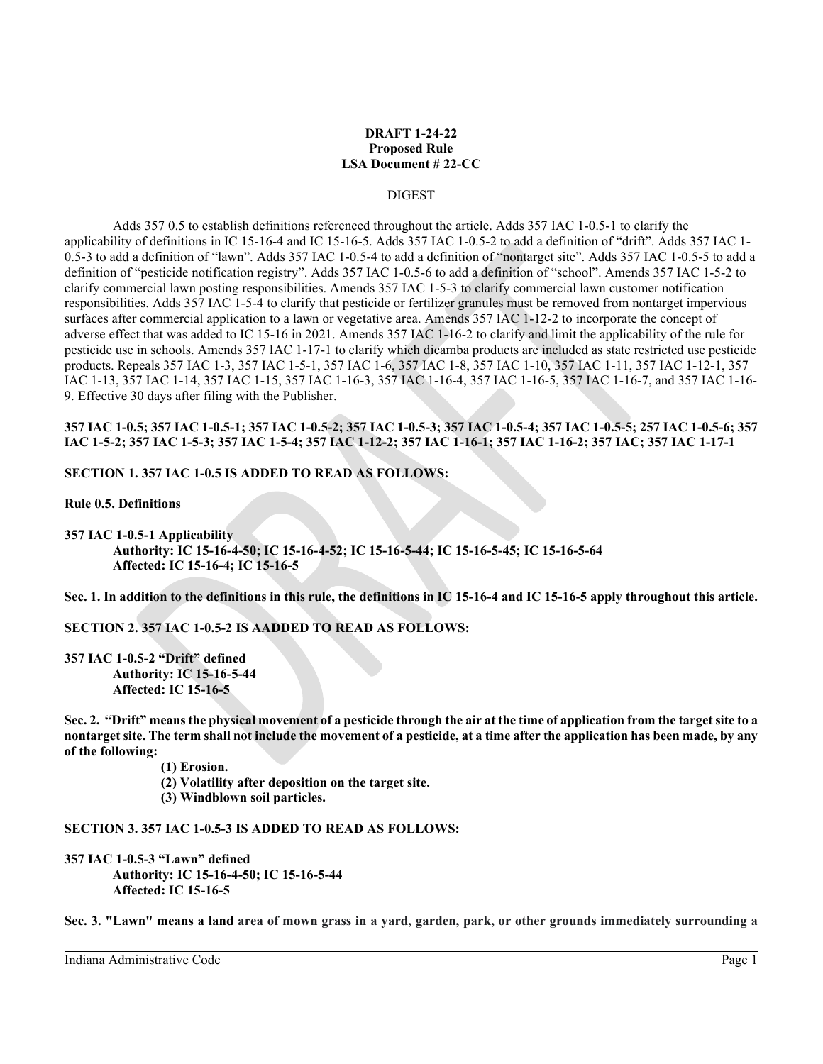# **DRAFT 1-24-22 Proposed Rule LSA Document # 22-CC**

#### DIGEST

Adds 357 0.5 to establish definitions referenced throughout the article. Adds 357 IAC 1-0.5-1 to clarify the applicability of definitions in IC 15-16-4 and IC 15-16-5. Adds 357 IAC 1-0.5-2 to add a definition of "drift". Adds 357 IAC 1- 0.5-3 to add a definition of "lawn". Adds 357 IAC 1-0.5-4 to add a definition of "nontarget site". Adds 357 IAC 1-0.5-5 to add a definition of "pesticide notification registry". Adds 357 IAC 1-0.5-6 to add a definition of "school". Amends 357 IAC 1-5-2 to clarify commercial lawn posting responsibilities. Amends 357 IAC 1-5-3 to clarify commercial lawn customer notification responsibilities. Adds 357 IAC 1-5-4 to clarify that pesticide or fertilizer granules must be removed from nontarget impervious surfaces after commercial application to a lawn or vegetative area. Amends 357 IAC 1-12-2 to incorporate the concept of adverse effect that was added to IC 15-16 in 2021. Amends 357 IAC 1-16-2 to clarify and limit the applicability of the rule for pesticide use in schools. Amends 357 IAC 1-17-1 to clarify which dicamba products are included as state restricted use pesticide products. Repeals 357 IAC 1-3, 357 IAC 1-5-1, 357 IAC 1-6, 357 IAC 1-8, 357 IAC 1-10, 357 IAC 1-11, 357 IAC 1-12-1, 357 IAC 1-13, 357 IAC 1-14, 357 IAC 1-15, 357 IAC 1-16-3, 357 IAC 1-16-4, 357 IAC 1-16-5, 357 IAC 1-16-7, and 357 IAC 1-16- 9. Effective 30 days after filing with the Publisher.

### **357 IAC 1-0.5; 357 IAC 1-0.5-1; 357 IAC 1-0.5-2; 357 IAC 1-0.5-3; 357 IAC 1-0.5-4; 357 IAC 1-0.5-5; 257 IAC 1-0.5-6; 357 IAC 1-5-2; 357 IAC 1-5-3; 357 IAC 1-5-4; 357 IAC 1-12-2; 357 IAC 1-16-1; 357 IAC 1-16-2; 357 IAC; 357 IAC 1-17-1**

# **SECTION 1. 357 IAC 1-0.5 IS ADDED TO READ AS FOLLOWS:**

#### **Rule 0.5. Definitions**

**357 IAC 1-0.5-1 Applicability Authority: IC 15-16-4-50; IC 15-16-4-52; IC 15-16-5-44; IC 15-16-5-45; IC 15-16-5-64 Affected: IC 15-16-4; IC 15-16-5**

**Sec. 1. In addition to the definitions in this rule, the definitions in IC 15-16-4 and IC 15-16-5 apply throughout this article.**

# **SECTION 2. 357 IAC 1-0.5-2 IS AADDED TO READ AS FOLLOWS:**

**357 IAC 1-0.5-2 "Drift" defined Authority: IC 15-16-5-44 Affected: IC 15-16-5**

**Sec. 2. "Drift" meansthe physical movement of a pesticide through the air at the time of application from the target site to a nontarget site. The term shall not include the movement of a pesticide, at a time after the application has been made, by any of the following:**

**(1) Erosion.**

- **(2) Volatility after deposition on the target site.**
- **(3) Windblown soil particles.**

**SECTION 3. 357 IAC 1-0.5-3 IS ADDED TO READ AS FOLLOWS:**

**357 IAC 1-0.5-3 "Lawn" defined Authority: IC 15-16-4-50; IC 15-16-5-44 Affected: IC 15-16-5**

**Sec. 3. "Lawn" means a land area of mown grass in a yard, garden, park, or other grounds immediately surrounding a**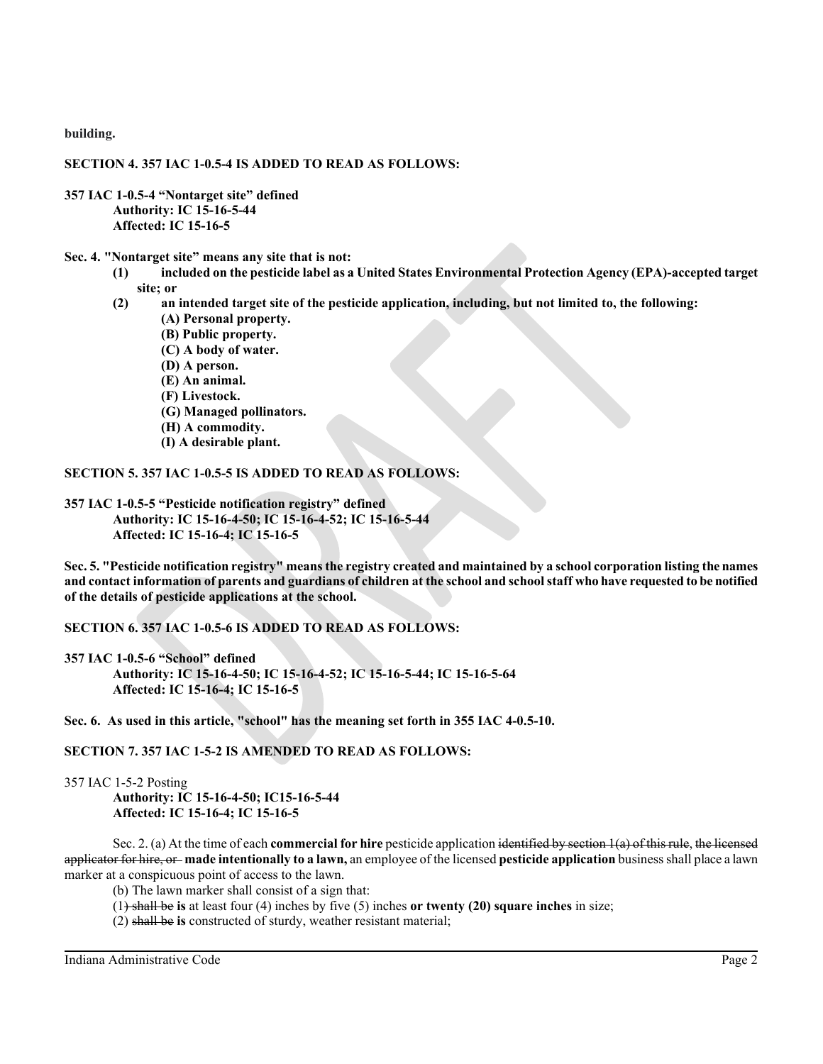**building.**

# **SECTION 4. 357 IAC 1-0.5-4 IS ADDED TO READ AS FOLLOWS:**

- **357 IAC 1-0.5-4 "Nontarget site" defined Authority: IC 15-16-5-44 Affected: IC 15-16-5**
- **Sec. 4. "Nontarget site" means any site that is not:**
	- **(1) included on the pesticide label as a United States Environmental Protection Agency (EPA)-accepted target site; or**
	- **(2) an intended target site of the pesticide application, including, but not limited to, the following:**
		- **(A) Personal property.**
			- **(B) Public property.**
			- **(C) A body of water.**
			- **(D) A person.**
			- **(E) An animal.**
		- **(F) Livestock.**
		- **(G) Managed pollinators.**
		- **(H) A commodity.**
		- **(I) A desirable plant.**

# **SECTION 5. 357 IAC 1-0.5-5 IS ADDED TO READ AS FOLLOWS:**

**357 IAC 1-0.5-5 "Pesticide notification registry" defined Authority: IC 15-16-4-50; IC 15-16-4-52; IC 15-16-5-44 Affected: IC 15-16-4; IC 15-16-5**

**Sec. 5. "Pesticide notification registry" means the registry created and maintained by a school corporation listing the names and contact information of parents and guardians of children at the school and school staff who have requested to be notified of the details of pesticide applications at the school.**

**SECTION 6. 357 IAC 1-0.5-6 IS ADDED TO READ AS FOLLOWS:**

**357 IAC 1-0.5-6 "School" defined Authority: IC 15-16-4-50; IC 15-16-4-52; IC 15-16-5-44; IC 15-16-5-64 Affected: IC 15-16-4; IC 15-16-5**

**Sec. 6. As used in this article, "school" has the meaning set forth in 355 IAC 4-0.5-10.**

**SECTION 7. 357 IAC 1-5-2 IS AMENDED TO READ AS FOLLOWS:**

357 IAC 1-5-2 Posting

**Authority: IC 15-16-4-50; IC15-16-5-44 Affected: IC 15-16-4; IC 15-16-5**

Sec. 2. (a) At the time of each **commercial for hire** pesticide application identified by section 1(a) of this rule, the licensed applicator for hire, or **made intentionally to a lawn,** an employee of the licensed **pesticide application** businessshall place a lawn marker at a conspicuous point of access to the lawn.

(b) The lawn marker shall consist of a sign that:

(1) shall be **is** at least four (4) inches by five (5) inches **or twenty (20) square inches** in size;

(2) shall be **is** constructed of sturdy, weather resistant material;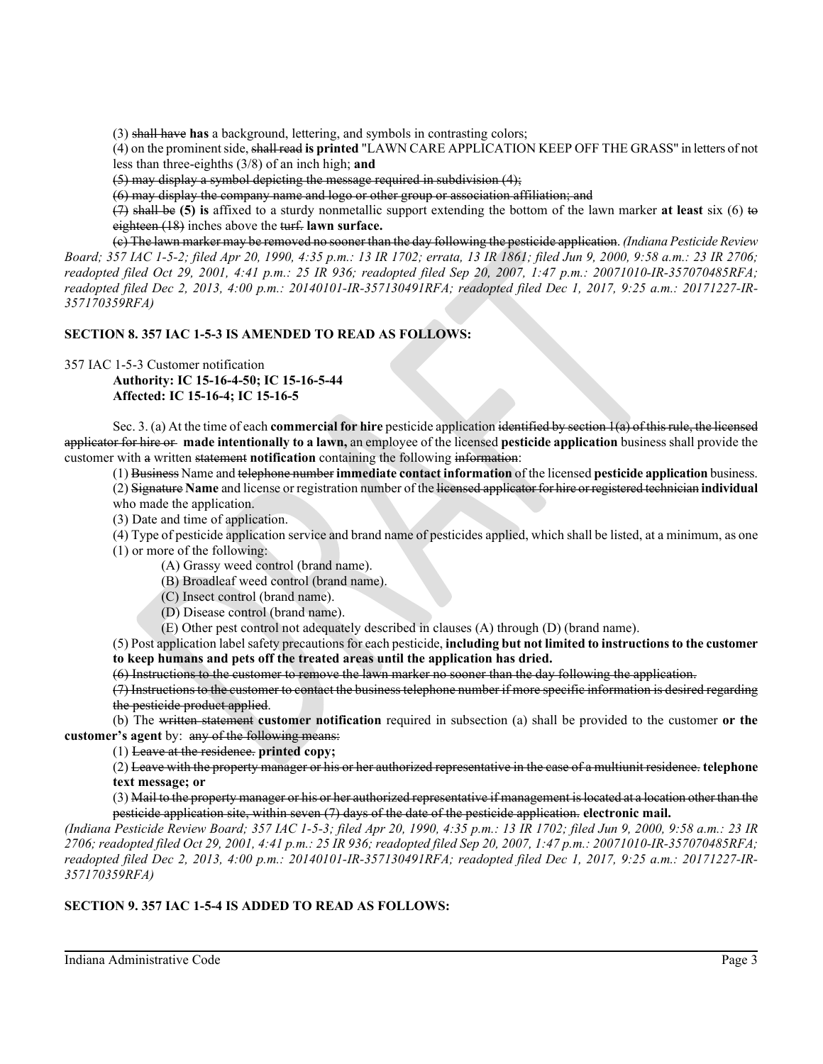(3) shall have **has** a background, lettering, and symbols in contrasting colors;

(4) on the prominent side, shall read **is printed** "LAWN CARE APPLICATION KEEP OFF THE GRASS" in letters of not less than three-eighths (3/8) of an inch high; **and**

(5) may display a symbol depicting the message required in subdivision (4);

(6) may display the company name and logo or other group or association affiliation; and

(7) shall be **(5) is** affixed to a sturdy nonmetallic support extending the bottom of the lawn marker **at least** six (6) to eighteen (18) inches above the turf. **lawn surface.**

(c) The lawn marker may be removed no sooner than the day following the pesticide application. *(Indiana Pesticide Review Board; 357 IAC 1-5-2; filed Apr 20, 1990, 4:35 p.m.: 13 IR 1702; errata, 13 IR 1861; filed Jun 9, 2000, 9:58 a.m.: 23 IR 2706; readopted filed Oct 29, 2001, 4:41 p.m.: 25 IR 936; readopted filed Sep 20, 2007, 1:47 p.m.: 20071010-IR-357070485RFA; readopted filed Dec 2, 2013, 4:00 p.m.: 20140101-IR-357130491RFA; readopted filed Dec 1, 2017, 9:25 a.m.: 20171227-IR-357170359RFA)*

# **SECTION 8. 357 IAC 1-5-3 IS AMENDED TO READ AS FOLLOWS:**

357 IAC 1-5-3 Customer notification

**Authority: IC 15-16-4-50; IC 15-16-5-44 Affected: IC 15-16-4; IC 15-16-5**

Sec. 3. (a) At the time of each **commercial for hire** pesticide application identified by section 1(a) of this rule, the licensed applicator for hire or **made intentionally to a lawn,** an employee of the licensed **pesticide application** business shall provide the customer with a written statement **notification** containing the following information:

(1) Business Name and telephone number **immediate contact information** of the licensed **pesticide application** business.

- (2) Signature **Name** and license or registration number of the licensed applicator for hire or registered technician **individual**
- who made the application.
- (3) Date and time of application.
- (4) Type of pesticide application service and brand name of pesticides applied, which shall be listed, at a minimum, as one
- (1) or more of the following:
	- (A) Grassy weed control (brand name).
	- (B) Broadleaf weed control (brand name).
	- (C) Insect control (brand name).
	- (D) Disease control (brand name).
	- (E) Other pest control not adequately described in clauses (A) through (D) (brand name).

(5) Post application label safety precautions for each pesticide, **including but not limited to instructionsto the customer to keep humans and pets off the treated areas until the application has dried.**

(6) Instructions to the customer to remove the lawn marker no sooner than the day following the application.

(7) Instructions to the customer to contact the business telephone number if more specific information is desired regarding the pesticide product applied.

(b) The written statement **customer notification** required in subsection (a) shall be provided to the customer **or the customer's agent** by: any of the following means:

(1) Leave at the residence. **printed copy;**

(2) Leave with the property manager or his or her authorized representative in the case of a multiunit residence. **telephone text message; or**

(3) Mail to the property manager or his or her authorized representative if management is located at a location other than the pesticide application site, within seven (7) days of the date of the pesticide application. **electronic mail.**

*(Indiana Pesticide Review Board; 357 IAC 1-5-3; filed Apr 20, 1990, 4:35 p.m.: 13 IR 1702; filed Jun 9, 2000, 9:58 a.m.: 23 IR 2706; readopted filed Oct 29, 2001, 4:41 p.m.: 25 IR 936; readopted filed Sep 20, 2007, 1:47 p.m.: 20071010-IR-357070485RFA; readopted filed Dec 2, 2013, 4:00 p.m.: 20140101-IR-357130491RFA; readopted filed Dec 1, 2017, 9:25 a.m.: 20171227-IR-357170359RFA)*

# **SECTION 9. 357 IAC 1-5-4 IS ADDED TO READ AS FOLLOWS:**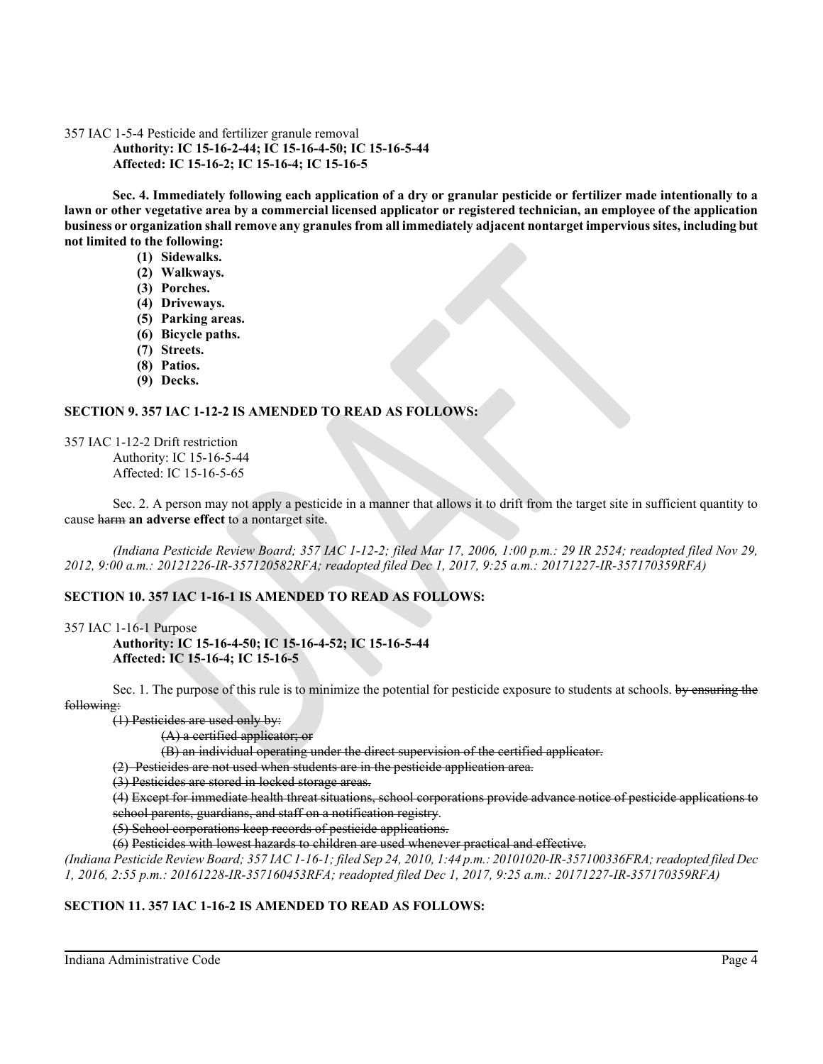### 357 IAC 1-5-4 Pesticide and fertilizer granule removal

**Authority: IC 15-16-2-44; IC 15-16-4-50; IC 15-16-5-44 Affected: IC 15-16-2; IC 15-16-4; IC 15-16-5**

**Sec. 4. Immediately following each application of a dry or granular pesticide or fertilizer made intentionally to a lawn or other vegetative area by a commercial licensed applicator or registered technician, an employee of the application business or organization shall remove any granules from all immediately adjacent nontarget impervious sites, including but not limited to the following:**

- **(1) Sidewalks.**
- **(2) Walkways.**
- **(3) Porches.**
- **(4) Driveways.**
- **(5) Parking areas.**
- **(6) Bicycle paths.**
- **(7) Streets.**
- **(8) Patios.**
- **(9) Decks.**

### **SECTION 9. 357 IAC 1-12-2 IS AMENDED TO READ AS FOLLOWS:**

#### 357 IAC 1-12-2 Drift restriction

Authority: IC 15-16-5-44 Affected: IC 15-16-5-65

Sec. 2. A person may not apply a pesticide in a manner that allows it to drift from the target site in sufficient quantity to cause harm **an adverse effect** to a nontarget site.

*(Indiana Pesticide Review Board; 357 IAC 1-12-2; filed Mar 17, 2006, 1:00 p.m.: 29 IR 2524; readopted filed Nov 29, 2012, 9:00 a.m.: 20121226-IR-357120582RFA; readopted filed Dec 1, 2017, 9:25 a.m.: 20171227-IR-357170359RFA)*

# **SECTION 10. 357 IAC 1-16-1 IS AMENDED TO READ AS FOLLOWS:**

#### 357 IAC 1-16-1 Purpose

**Authority: IC 15-16-4-50; IC 15-16-4-52; IC 15-16-5-44 Affected: IC 15-16-4; IC 15-16-5**

Sec. 1. The purpose of this rule is to minimize the potential for pesticide exposure to students at schools. by ensuring the following:

(1) Pesticides are used only by:

(A) a certified applicator; or

(B) an individual operating under the direct supervision of the certified applicator.

(2) Pesticides are not used when students are in the pesticide application area.

(3) Pesticides are stored in locked storage areas.

(4) Except for immediate health threat situations, school corporations provide advance notice of pesticide applications to school parents, guardians, and staff on a notification registry.

(5) School corporations keep records of pesticide applications.

(6) Pesticides with lowest hazards to children are used whenever practical and effective.

*(Indiana Pesticide Review Board; 357 IAC 1-16-1; filed Sep 24, 2010, 1:44 p.m.: 20101020-IR-357100336FRA; readopted filed Dec 1, 2016, 2:55 p.m.: 20161228-IR-357160453RFA; readopted filed Dec 1, 2017, 9:25 a.m.: 20171227-IR-357170359RFA)*

# **SECTION 11. 357 IAC 1-16-2 IS AMENDED TO READ AS FOLLOWS:**